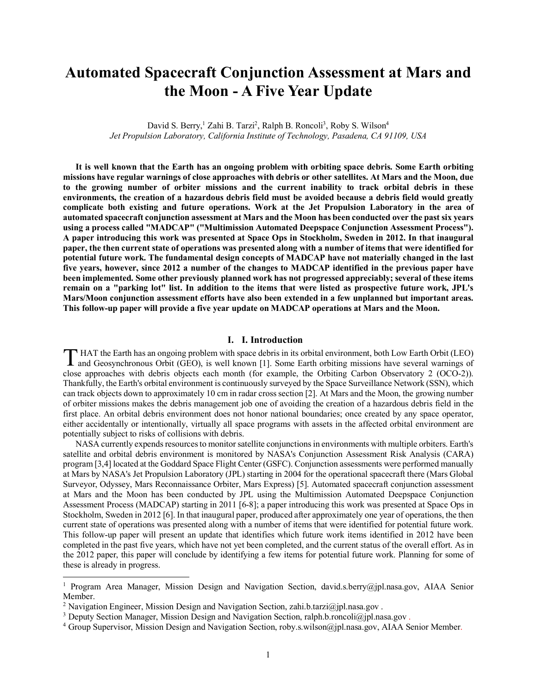# **Automated Spacecraft Conjunction Assessment at Mars and the Moon - A Five Year Update**

David S. Berry,<sup>1</sup> Zahi B. Tarzi<sup>2</sup>, Ralph B. Roncoli<sup>3</sup>, Roby S. Wilson<sup>4</sup> *Jet Propulsion Laboratory, California Institute of Technology, Pasadena, CA 91109, USA*

**It is well known that the Earth has an ongoing problem with orbiting space debris. Some Earth orbiting missions have regular warnings of close approaches with debris or other satellites. At Mars and the Moon, due to the growing number of orbiter missions and the current inability to track orbital debris in these environments, the creation of a hazardous debris field must be avoided because a debris field would greatly complicate both existing and future operations. Work at the Jet Propulsion Laboratory in the area of automated spacecraft conjunction assessment at Mars and the Moon has been conducted over the past six years using a process called "MADCAP" ("Multimission Automated Deepspace Conjunction Assessment Process"). A paper introducing this work was presented at Space Ops in Stockholm, Sweden in 2012. In that inaugural paper, the then current state of operations was presented along with a number of items that were identified for potential future work. The fundamental design concepts of MADCAP have not materially changed in the last five years, however, since 2012 a number of the changes to MADCAP identified in the previous paper have been implemented. Some other previously planned work has not progressed appreciably; several of these items remain on a "parking lot" list. In addition to the items that were listed as prospective future work, JPL's Mars/Moon conjunction assessment efforts have also been extended in a few unplanned but important areas. This follow-up paper will provide a five year update on MADCAP operations at Mars and the Moon.**

# **I. I. Introduction**

HAT the Earth has an ongoing problem with space debris in its orbital environment, both Low Earth Orbit (LEO) and Geosynchronous Orbit (GEO), is well known [1]. Some Earth orbiting missions have several warnings of close approaches with debris objects each month (for example, the Orbiting Carbon Observatory 2 (OCO-2)). Thankfully, the Earth's orbital environment is continuously surveyed by the Space Surveillance Network (SSN), which can track objects down to approximately 10 cm in radar cross section [2]. At Mars and the Moon, the growing number of orbiter missions makes the debris management job one of avoiding the creation of a hazardous debris field in the first place. An orbital debris environment does not honor national boundaries; once created by any space operator, either accidentally or intentionally, virtually all space programs with assets in the affected orbital environment are potentially subject to risks of collisions with debris. T

NASA currently expends resources to monitor satellite conjunctions in environments with multiple orbiters. Earth's satellite and orbital debris environment is monitored by NASA's Conjunction Assessment Risk Analysis (CARA) program [3,4] located at the Goddard Space Flight Center (GSFC). Conjunction assessments were performed manually at Mars by NASA's Jet Propulsion Laboratory (JPL) starting in 2004 for the operational spacecraft there (Mars Global Surveyor, Odyssey, Mars Reconnaissance Orbiter, Mars Express) [5]. Automated spacecraft conjunction assessment at Mars and the Moon has been conducted by JPL using the Multimission Automated Deepspace Conjunction Assessment Process (MADCAP) starting in 2011 [6-8]; a paper introducing this work was presented at Space Ops in Stockholm, Sweden in 2012 [6]. In that inaugural paper, produced after approximately one year of operations, the then current state of operations was presented along with a number of items that were identified for potential future work. This follow-up paper will present an update that identifies which future work items identified in 2012 have been completed in the past five years, which have not yet been completed, and the current status of the overall effort. As in the 2012 paper, this paper will conclude by identifying a few items for potential future work. Planning for some of these is already in progress.

 <sup>1</sup> Program Area Manager, Mission Design and Navigation Section, david.s.berry@jpl.nasa.gov, AIAA Senior Member.

<sup>&</sup>lt;sup>2</sup> Navigation Engineer, Mission Design and Navigation Section, zahi.b.tarzi@jpl.nasa.gov.

<sup>&</sup>lt;sup>3</sup> Deputy Section Manager, Mission Design and Navigation Section, ralph.b.roncoli $\omega$ jpl.nasa.gov.

<sup>4</sup> Group Supervisor, Mission Design and Navigation Section, roby.s.wilson@jpl.nasa.gov, AIAA Senior Member.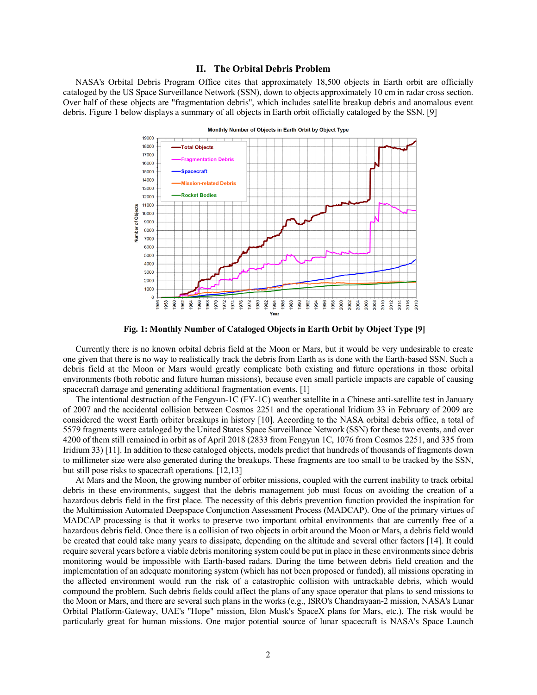#### **II. The Orbital Debris Problem**

NASA's Orbital Debris Program Office cites that approximately 18,500 objects in Earth orbit are officially cataloged by the US Space Surveillance Network (SSN), down to objects approximately 10 cm in radar cross section. Over half of these objects are "fragmentation debris", which includes satellite breakup debris and anomalous event debris. Figure 1 below displays a summary of all objects in Earth orbit officially cataloged by the SSN. [9]



Monthly Number of Objects in Earth Orbit by Object Type

**Fig. 1: Monthly Number of Cataloged Objects in Earth Orbit by Object Type [9]**

Currently there is no known orbital debris field at the Moon or Mars, but it would be very undesirable to create one given that there is no way to realistically track the debris from Earth as is done with the Earth-based SSN. Such a debris field at the Moon or Mars would greatly complicate both existing and future operations in those orbital environments (both robotic and future human missions), because even small particle impacts are capable of causing spacecraft damage and generating additional fragmentation events. [1]

The intentional destruction of the Fengyun-1C (FY-1C) weather satellite in a Chinese anti-satellite test in January of 2007 and the accidental collision between Cosmos 2251 and the operational Iridium 33 in February of 2009 are considered the worst Earth orbiter breakups in history [10]. According to the NASA orbital debris office, a total of 5579 fragments were cataloged by the United States Space Surveillance Network (SSN) for these two events, and over 4200 of them still remained in orbit as of April 2018 (2833 from Fengyun 1C, 1076 from Cosmos 2251, and 335 from Iridium 33) [11]. In addition to these cataloged objects, models predict that hundreds of thousands of fragments down to millimeter size were also generated during the breakups. These fragments are too small to be tracked by the SSN, but still pose risks to spacecraft operations. [12,13]

At Mars and the Moon, the growing number of orbiter missions, coupled with the current inability to track orbital debris in these environments, suggest that the debris management job must focus on avoiding the creation of a hazardous debris field in the first place. The necessity of this debris prevention function provided the inspiration for the Multimission Automated Deepspace Conjunction Assessment Process (MADCAP). One of the primary virtues of MADCAP processing is that it works to preserve two important orbital environments that are currently free of a hazardous debris field. Once there is a collision of two objects in orbit around the Moon or Mars, a debris field would be created that could take many years to dissipate, depending on the altitude and several other factors [14]. It could require several years before a viable debris monitoring system could be put in place in these environments since debris monitoring would be impossible with Earth-based radars. During the time between debris field creation and the implementation of an adequate monitoring system (which has not been proposed or funded), all missions operating in the affected environment would run the risk of a catastrophic collision with untrackable debris, which would compound the problem. Such debris fields could affect the plans of any space operator that plans to send missions to the Moon or Mars, and there are several such plans in the works (e.g., ISRO's Chandrayaan-2 mission, NASA's Lunar Orbital Platform-Gateway, UAE's "Hope" mission, Elon Musk's SpaceX plans for Mars, etc.). The risk would be particularly great for human missions. One major potential source of lunar spacecraft is NASA's Space Launch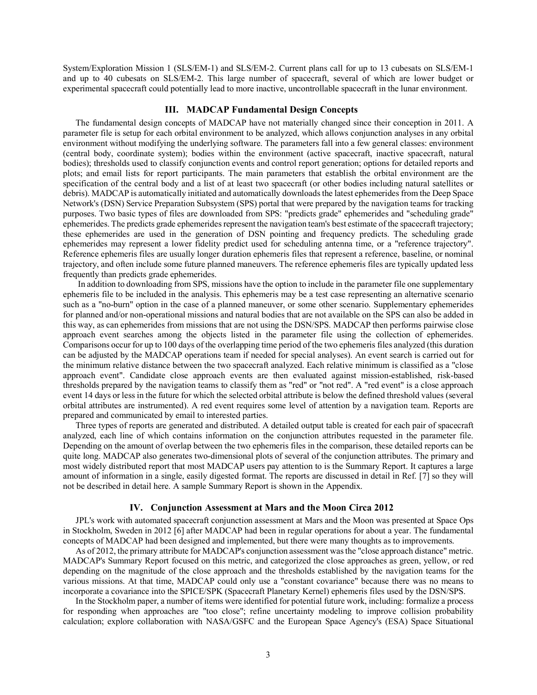System/Exploration Mission 1 (SLS/EM-1) and SLS/EM-2. Current plans call for up to 13 cubesats on SLS/EM-1 and up to 40 cubesats on SLS/EM-2. This large number of spacecraft, several of which are lower budget or experimental spacecraft could potentially lead to more inactive, uncontrollable spacecraft in the lunar environment.

# **III. MADCAP Fundamental Design Concepts**

The fundamental design concepts of MADCAP have not materially changed since their conception in 2011. A parameter file is setup for each orbital environment to be analyzed, which allows conjunction analyses in any orbital environment without modifying the underlying software. The parameters fall into a few general classes: environment (central body, coordinate system); bodies within the environment (active spacecraft, inactive spacecraft, natural bodies); thresholds used to classify conjunction events and control report generation; options for detailed reports and plots; and email lists for report participants. The main parameters that establish the orbital environment are the specification of the central body and a list of at least two spacecraft (or other bodies including natural satellites or debris). MADCAP is automatically initiated and automatically downloads the latest ephemerides from the Deep Space Network's (DSN) Service Preparation Subsystem (SPS) portal that were prepared by the navigation teams for tracking purposes. Two basic types of files are downloaded from SPS: "predicts grade" ephemerides and "scheduling grade" ephemerides. The predicts grade ephemerides represent the navigation team's best estimate of the spacecraft trajectory; these ephemerides are used in the generation of DSN pointing and frequency predicts. The scheduling grade ephemerides may represent a lower fidelity predict used for scheduling antenna time, or a "reference trajectory". Reference ephemeris files are usually longer duration ephemeris files that represent a reference, baseline, or nominal trajectory, and often include some future planned maneuvers. The reference ephemeris files are typically updated less frequently than predicts grade ephemerides.

In addition to downloading from SPS, missions have the option to include in the parameter file one supplementary ephemeris file to be included in the analysis. This ephemeris may be a test case representing an alternative scenario such as a "no-burn" option in the case of a planned maneuver, or some other scenario. Supplementary ephemerides for planned and/or non-operational missions and natural bodies that are not available on the SPS can also be added in this way, as can ephemerides from missions that are not using the DSN/SPS. MADCAP then performs pairwise close approach event searches among the objects listed in the parameter file using the collection of ephemerides. Comparisons occur for up to 100 days of the overlapping time period of the two ephemeris files analyzed (this duration can be adjusted by the MADCAP operations team if needed for special analyses). An event search is carried out for the minimum relative distance between the two spacecraft analyzed. Each relative minimum is classified as a "close approach event". Candidate close approach events are then evaluated against mission-established, risk-based thresholds prepared by the navigation teams to classify them as "red" or "not red". A "red event" is a close approach event 14 days or less in the future for which the selected orbital attribute is below the defined threshold values (several orbital attributes are instrumented). A red event requires some level of attention by a navigation team. Reports are prepared and communicated by email to interested parties.

Three types of reports are generated and distributed. A detailed output table is created for each pair of spacecraft analyzed, each line of which contains information on the conjunction attributes requested in the parameter file. Depending on the amount of overlap between the two ephemeris files in the comparison, these detailed reports can be quite long. MADCAP also generates two-dimensional plots of several of the conjunction attributes. The primary and most widely distributed report that most MADCAP users pay attention to is the Summary Report. It captures a large amount of information in a single, easily digested format. The reports are discussed in detail in Ref. [7] so they will not be described in detail here. A sample Summary Report is shown in the Appendix.

## **IV. Conjunction Assessment at Mars and the Moon Circa 2012**

JPL's work with automated spacecraft conjunction assessment at Mars and the Moon was presented at Space Ops in Stockholm, Sweden in 2012 [6] after MADCAP had been in regular operations for about a year. The fundamental concepts of MADCAP had been designed and implemented, but there were many thoughts as to improvements.

As of 2012, the primary attribute for MADCAP's conjunction assessment was the "close approach distance" metric. MADCAP's Summary Report focused on this metric, and categorized the close approaches as green, yellow, or red depending on the magnitude of the close approach and the thresholds established by the navigation teams for the various missions. At that time, MADCAP could only use a "constant covariance" because there was no means to incorporate a covariance into the SPICE/SPK (Spacecraft Planetary Kernel) ephemeris files used by the DSN/SPS.

In the Stockholm paper, a number of items were identified for potential future work, including: formalize a process for responding when approaches are "too close"; refine uncertainty modeling to improve collision probability calculation; explore collaboration with NASA/GSFC and the European Space Agency's (ESA) Space Situational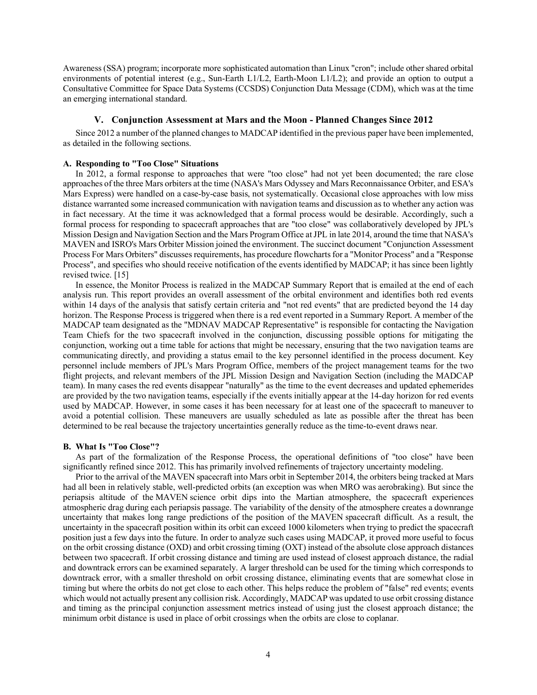Awareness (SSA) program; incorporate more sophisticated automation than Linux "cron"; include other shared orbital environments of potential interest (e.g., Sun-Earth L1/L2, Earth-Moon L1/L2); and provide an option to output a Consultative Committee for Space Data Systems (CCSDS) Conjunction Data Message (CDM), which was at the time an emerging international standard.

# **V. Conjunction Assessment at Mars and the Moon - Planned Changes Since 2012**

Since 2012 a number of the planned changes to MADCAP identified in the previous paper have been implemented, as detailed in the following sections.

# **A. Responding to "Too Close" Situations**

In 2012, a formal response to approaches that were "too close" had not yet been documented; the rare close approaches of the three Mars orbiters at the time (NASA's Mars Odyssey and Mars Reconnaissance Orbiter, and ESA's Mars Express) were handled on a case-by-case basis, not systematically. Occasional close approaches with low miss distance warranted some increased communication with navigation teams and discussion as to whether any action was in fact necessary. At the time it was acknowledged that a formal process would be desirable. Accordingly, such a formal process for responding to spacecraft approaches that are "too close" was collaboratively developed by JPL's Mission Design and Navigation Section and the Mars Program Office at JPL in late 2014, around the time that NASA's MAVEN and ISRO's Mars Orbiter Mission joined the environment. The succinct document "Conjunction Assessment Process For Mars Orbiters" discusses requirements, has procedure flowcharts for a "Monitor Process" and a "Response Process", and specifies who should receive notification of the events identified by MADCAP; it has since been lightly revised twice. [15]

In essence, the Monitor Process is realized in the MADCAP Summary Report that is emailed at the end of each analysis run. This report provides an overall assessment of the orbital environment and identifies both red events within 14 days of the analysis that satisfy certain criteria and "not red events" that are predicted beyond the 14 day horizon. The Response Process is triggered when there is a red event reported in a Summary Report. A member of the MADCAP team designated as the "MDNAV MADCAP Representative" is responsible for contacting the Navigation Team Chiefs for the two spacecraft involved in the conjunction, discussing possible options for mitigating the conjunction, working out a time table for actions that might be necessary, ensuring that the two navigation teams are communicating directly, and providing a status email to the key personnel identified in the process document. Key personnel include members of JPL's Mars Program Office, members of the project management teams for the two flight projects, and relevant members of the JPL Mission Design and Navigation Section (including the MADCAP team). In many cases the red events disappear "naturally" as the time to the event decreases and updated ephemerides are provided by the two navigation teams, especially if the events initially appear at the 14-day horizon for red events used by MADCAP. However, in some cases it has been necessary for at least one of the spacecraft to maneuver to avoid a potential collision. These maneuvers are usually scheduled as late as possible after the threat has been determined to be real because the trajectory uncertainties generally reduce as the time-to-event draws near.

## **B. What Is "Too Close"?**

As part of the formalization of the Response Process, the operational definitions of "too close" have been significantly refined since 2012. This has primarily involved refinements of trajectory uncertainty modeling.

Prior to the arrival of the MAVEN spacecraft into Mars orbit in September 2014, the orbiters being tracked at Mars had all been in relatively stable, well-predicted orbits (an exception was when MRO was aerobraking). But since the periapsis altitude of the MAVEN science orbit dips into the Martian atmosphere, the spacecraft experiences atmospheric drag during each periapsis passage. The variability of the density of the atmosphere creates a downrange uncertainty that makes long range predictions of the position of the MAVEN spacecraft difficult. As a result, the uncertainty in the spacecraft position within its orbit can exceed 1000 kilometers when trying to predict the spacecraft position just a few days into the future. In order to analyze such cases using MADCAP, it proved more useful to focus on the orbit crossing distance (OXD) and orbit crossing timing (OXT) instead of the absolute close approach distances between two spacecraft. If orbit crossing distance and timing are used instead of closest approach distance, the radial and downtrack errors can be examined separately. A larger threshold can be used for the timing which corresponds to downtrack error, with a smaller threshold on orbit crossing distance, eliminating events that are somewhat close in timing but where the orbits do not get close to each other. This helps reduce the problem of "false" red events; events which would not actually present any collision risk. Accordingly, MADCAP was updated to use orbit crossing distance and timing as the principal conjunction assessment metrics instead of using just the closest approach distance; the minimum orbit distance is used in place of orbit crossings when the orbits are close to coplanar.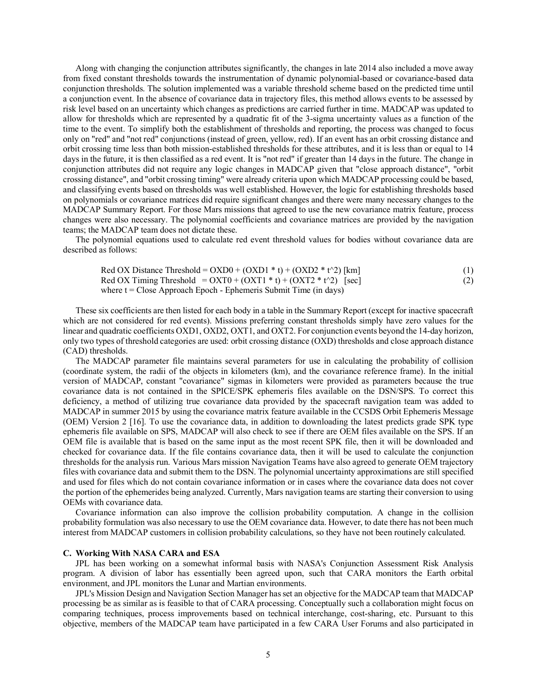Along with changing the conjunction attributes significantly, the changes in late 2014 also included a move away from fixed constant thresholds towards the instrumentation of dynamic polynomial-based or covariance-based data conjunction thresholds. The solution implemented was a variable threshold scheme based on the predicted time until a conjunction event. In the absence of covariance data in trajectory files, this method allows events to be assessed by risk level based on an uncertainty which changes as predictions are carried further in time. MADCAP was updated to allow for thresholds which are represented by a quadratic fit of the 3-sigma uncertainty values as a function of the time to the event. To simplify both the establishment of thresholds and reporting, the process was changed to focus only on "red" and "not red" conjunctions (instead of green, yellow, red). If an event has an orbit crossing distance and orbit crossing time less than both mission-established thresholds for these attributes, and it is less than or equal to 14 days in the future, it is then classified as a red event. It is "not red" if greater than 14 days in the future. The change in conjunction attributes did not require any logic changes in MADCAP given that "close approach distance", "orbit crossing distance", and "orbit crossing timing" were already criteria upon which MADCAP processing could be based, and classifying events based on thresholds was well established. However, the logic for establishing thresholds based on polynomials or covariance matrices did require significant changes and there were many necessary changes to the MADCAP Summary Report. For those Mars missions that agreed to use the new covariance matrix feature, process changes were also necessary. The polynomial coefficients and covariance matrices are provided by the navigation teams; the MADCAP team does not dictate these.

The polynomial equations used to calculate red event threshold values for bodies without covariance data are described as follows:

| Red OX Distance Threshold = $OXDD + (OXD1 * t) + (OXD2 * t^2)$ [km]                     |     |
|-----------------------------------------------------------------------------------------|-----|
| Red OX Timing Threshold = $\text{OXT0} + (\text{OXT1} * t) + (\text{OXT2} * t^2)$ [sec] | (2) |
| where $t = Close$ Approach Epoch - Ephemeris Submit Time (in days)                      |     |

These six coefficients are then listed for each body in a table in the Summary Report (except for inactive spacecraft which are not considered for red events). Missions preferring constant thresholds simply have zero values for the linear and quadratic coefficients OXD1, OXD2, OXT1, and OXT2. For conjunction events beyond the 14-day horizon, only two types of threshold categories are used: orbit crossing distance (OXD) thresholds and close approach distance (CAD) thresholds.

The MADCAP parameter file maintains several parameters for use in calculating the probability of collision (coordinate system, the radii of the objects in kilometers (km), and the covariance reference frame). In the initial version of MADCAP, constant "covariance" sigmas in kilometers were provided as parameters because the true covariance data is not contained in the SPICE/SPK ephemeris files available on the DSN/SPS. To correct this deficiency, a method of utilizing true covariance data provided by the spacecraft navigation team was added to MADCAP in summer 2015 by using the covariance matrix feature available in the CCSDS Orbit Ephemeris Message (OEM) Version 2 [16]. To use the covariance data, in addition to downloading the latest predicts grade SPK type ephemeris file available on SPS, MADCAP will also check to see if there are OEM files available on the SPS. If an OEM file is available that is based on the same input as the most recent SPK file, then it will be downloaded and checked for covariance data. If the file contains covariance data, then it will be used to calculate the conjunction thresholds for the analysis run. Various Mars mission Navigation Teams have also agreed to generate OEM trajectory files with covariance data and submit them to the DSN. The polynomial uncertainty approximations are still specified and used for files which do not contain covariance information or in cases where the covariance data does not cover the portion of the ephemerides being analyzed. Currently, Mars navigation teams are starting their conversion to using OEMs with covariance data.

Covariance information can also improve the collision probability computation. A change in the collision probability formulation was also necessary to use the OEM covariance data. However, to date there has not been much interest from MADCAP customers in collision probability calculations, so they have not been routinely calculated.

## **C. Working With NASA CARA and ESA**

JPL has been working on a somewhat informal basis with NASA's Conjunction Assessment Risk Analysis program. A division of labor has essentially been agreed upon, such that CARA monitors the Earth orbital environment, and JPL monitors the Lunar and Martian environments.

JPL's Mission Design and Navigation Section Manager has set an objective for the MADCAP team that MADCAP processing be as similar as is feasible to that of CARA processing. Conceptually such a collaboration might focus on comparing techniques, process improvements based on technical interchange, cost-sharing, etc. Pursuant to this objective, members of the MADCAP team have participated in a few CARA User Forums and also participated in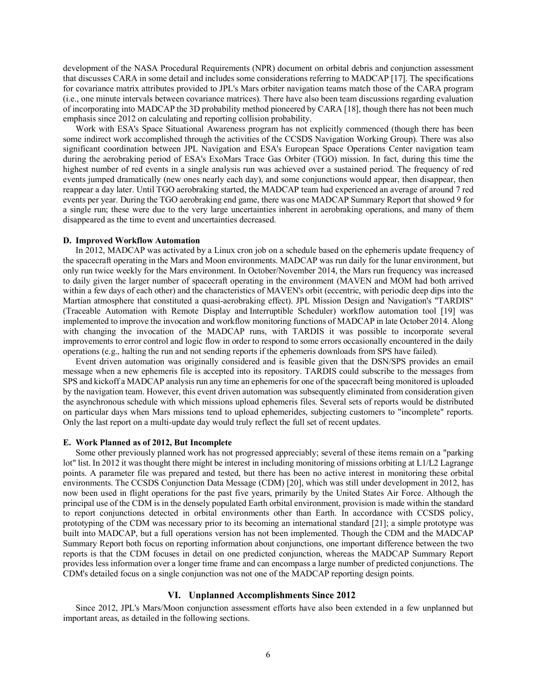development of the NASA Procedural Requirements (NPR) document on orbital debris and conjunction assessment that discusses CARA in some detail and includes some considerations referring to MADCAP [17]. The specifications for covariance matrix attributes provided to JPL's Mars orbiter navigation teams match those of the CARA program (i.e., one minute intervals between covariance matrices). There have also been team discussions regarding evaluation of incorporating into MADCAP the 3D probability method pioneered by CARA [18], though there has not been much emphasis since 2012 on calculating and reporting collision probability.

Work with ESA's Space Situational Awareness program has not explicitly commenced (though there has been some indirect work accomplished through the activities of the CCSDS Navigation Working Group). There was also significant coordination between JPL Navigation and ESA's European Space Operations Center navigation team during the aerobraking period of ESA's ExoMars Trace Gas Orbiter (TGO) mission. In fact, during this time the highest number of red events in a single analysis run was achieved over a sustained period. The frequency of red events jumped dramatically (new ones nearly each day), and some conjunctions would appear, then disappear, then reappear a day later. Until TGO aerobraking started, the MADCAP team had experienced an average of around 7 red events per year. During the TGO aerobraking end game, there was one MADCAP Summary Report that showed 9 for a single run; these were due to the very large uncertainties inherent in aerobraking operations, and many of them disappeared as the time to event and uncertainties decreased.

# **D. Improved Workflow Automation**

In 2012, MADCAP was activated by a Linux cron job on a schedule based on the ephemeris update frequency of the spacecraft operating in the Mars and Moon environments. MADCAP was run daily for the lunar environment, but only run twice weekly for the Mars environment. In October/November 2014, the Mars run frequency was increased to daily given the larger number of spacecraft operating in the environment (MAVEN and MOM had both arrived within a few days of each other) and the characteristics of MAVEN's orbit (eccentric, with periodic deep dips into the Martian atmosphere that constituted a quasi-aerobraking effect). JPL Mission Design and Navigation's "TARDIS" (Traceable Automation with Remote Display and Interruptible Scheduler) workflow automation tool [19] was implemented to improve the invocation and workflow monitoring functions of MADCAP in late October 2014. Along with changing the invocation of the MADCAP runs, with TARDIS it was possible to incorporate several improvements to error control and logic flow in order to respond to some errors occasionally encountered in the daily operations (e.g., halting the run and not sending reports if the ephemeris downloads from SPS have failed).

Event driven automation was originally considered and is feasible given that the DSN/SPS provides an email message when a new ephemeris file is accepted into its repository. TARDIS could subscribe to the messages from SPS and kickoff a MADCAP analysis run any time an ephemeris for one of the spacecraft being monitored is uploaded by the navigation team. However, this event driven automation was subsequently eliminated from consideration given the asynchronous schedule with which missions upload ephemeris files. Several sets of reports would be distributed on particular days when Mars missions tend to upload ephemerides, subjecting customers to "incomplete" reports. Only the last report on a multi-update day would truly reflect the full set of recent updates.

#### **E. Work Planned as of 2012, But Incomplete**

Some other previously planned work has not progressed appreciably; several of these items remain on a "parking lot" list. In 2012 it was thought there might be interest in including monitoring of missions orbiting at L1/L2 Lagrange points. A parameter file was prepared and tested, but there has been no active interest in monitoring these orbital environments. The CCSDS Conjunction Data Message (CDM) [20], which was still under development in 2012, has now been used in flight operations for the past five years, primarily by the United States Air Force. Although the principal use of the CDM is in the densely populated Earth orbital environment, provision is made within the standard to report conjunctions detected in orbital environments other than Earth. In accordance with CCSDS policy, prototyping of the CDM was necessary prior to its becoming an international standard [21]; a simple prototype was built into MADCAP, but a full operations version has not been implemented. Though the CDM and the MADCAP Summary Report both focus on reporting information about conjunctions, one important difference between the two reports is that the CDM focuses in detail on one predicted conjunction, whereas the MADCAP Summary Report provides less information over a longer time frame and can encompass a large number of predicted conjunctions. The CDM's detailed focus on a single conjunction was not one of the MADCAP reporting design points.

## **VI. Unplanned Accomplishments Since 2012**

Since 2012, JPL's Mars/Moon conjunction assessment efforts have also been extended in a few unplanned but important areas, as detailed in the following sections.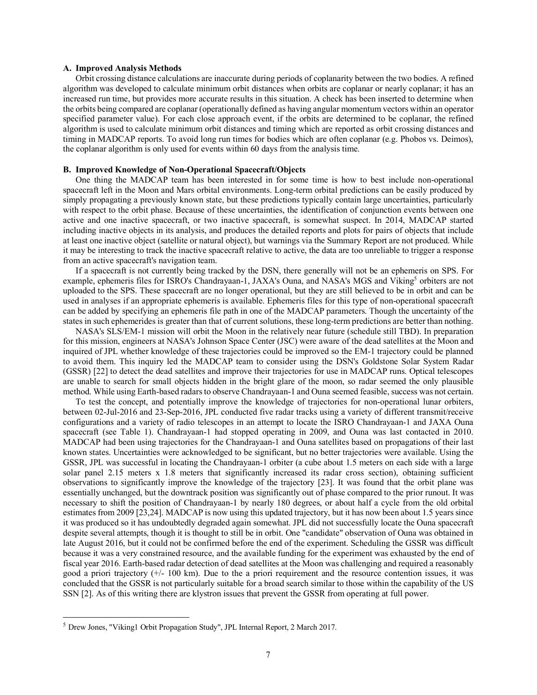## **A. Improved Analysis Methods**

Orbit crossing distance calculations are inaccurate during periods of coplanarity between the two bodies. A refined algorithm was developed to calculate minimum orbit distances when orbits are coplanar or nearly coplanar; it has an increased run time, but provides more accurate results in this situation. A check has been inserted to determine when the orbits being compared are coplanar (operationally defined as having angular momentum vectors within an operator specified parameter value). For each close approach event, if the orbits are determined to be coplanar, the refined algorithm is used to calculate minimum orbit distances and timing which are reported as orbit crossing distances and timing in MADCAP reports. To avoid long run times for bodies which are often coplanar (e.g. Phobos vs. Deimos), the coplanar algorithm is only used for events within 60 days from the analysis time.

# **B. Improved Knowledge of Non-Operational Spacecraft/Objects**

One thing the MADCAP team has been interested in for some time is how to best include non-operational spacecraft left in the Moon and Mars orbital environments. Long-term orbital predictions can be easily produced by simply propagating a previously known state, but these predictions typically contain large uncertainties, particularly with respect to the orbit phase. Because of these uncertainties, the identification of conjunction events between one active and one inactive spacecraft, or two inactive spacecraft, is somewhat suspect. In 2014, MADCAP started including inactive objects in its analysis, and produces the detailed reports and plots for pairs of objects that include at least one inactive object (satellite or natural object), but warnings via the Summary Report are not produced. While it may be interesting to track the inactive spacecraft relative to active, the data are too unreliable to trigger a response from an active spacecraft's navigation team.

If a spacecraft is not currently being tracked by the DSN, there generally will not be an ephemeris on SPS. For example, ephemeris files for ISRO's Chandrayaan-1, JAXA's Ouna, and NASA's MGS and Viking<sup>5</sup> orbiters are not uploaded to the SPS. These spacecraft are no longer operational, but they are still believed to be in orbit and can be used in analyses if an appropriate ephemeris is available. Ephemeris files for this type of non-operational spacecraft can be added by specifying an ephemeris file path in one of the MADCAP parameters. Though the uncertainty of the states in such ephemerides is greater than that of current solutions, these long-term predictions are better than nothing.

NASA's SLS/EM-1 mission will orbit the Moon in the relatively near future (schedule still TBD). In preparation for this mission, engineers at NASA's Johnson Space Center (JSC) were aware of the dead satellites at the Moon and inquired of JPL whether knowledge of these trajectories could be improved so the EM-1 trajectory could be planned to avoid them. This inquiry led the MADCAP team to consider using the DSN's Goldstone Solar System Radar (GSSR) [22] to detect the dead satellites and improve their trajectories for use in MADCAP runs. Optical telescopes are unable to search for small objects hidden in the bright glare of the moon, so radar seemed the only plausible method. While using Earth-based radars to observe Chandrayaan-1 and Ouna seemed feasible, success was not certain.

To test the concept, and potentially improve the knowledge of trajectories for non-operational lunar orbiters, between 02-Jul-2016 and 23-Sep-2016, JPL conducted five radar tracks using a variety of different transmit/receive configurations and a variety of radio telescopes in an attempt to locate the ISRO Chandrayaan-1 and JAXA Ouna spacecraft (see Table 1). Chandrayaan-1 had stopped operating in 2009, and Ouna was last contacted in 2010. MADCAP had been using trajectories for the Chandrayaan-1 and Ouna satellites based on propagations of their last known states. Uncertainties were acknowledged to be significant, but no better trajectories were available. Using the GSSR, JPL was successful in locating the Chandrayaan-1 orbiter (a cube about 1.5 meters on each side with a large solar panel 2.15 meters x 1.8 meters that significantly increased its radar cross section), obtaining sufficient observations to significantly improve the knowledge of the trajectory [23]. It was found that the orbit plane was essentially unchanged, but the downtrack position was significantly out of phase compared to the prior runout. It was necessary to shift the position of Chandrayaan-1 by nearly 180 degrees, or about half a cycle from the old orbital estimates from 2009 [23,24]. MADCAP is now using this updated trajectory, but it has now been about 1.5 years since it was produced so it has undoubtedly degraded again somewhat. JPL did not successfully locate the Ouna spacecraft despite several attempts, though it is thought to still be in orbit. One "candidate" observation of Ouna was obtained in late August 2016, but it could not be confirmed before the end of the experiment. Scheduling the GSSR was difficult because it was a very constrained resource, and the available funding for the experiment was exhausted by the end of fiscal year 2016. Earth-based radar detection of dead satellites at the Moon was challenging and required a reasonably good a priori trajectory (+/- 100 km). Due to the a priori requirement and the resource contention issues, it was concluded that the GSSR is not particularly suitable for a broad search similar to those within the capability of the US SSN [2]. As of this writing there are klystron issues that prevent the GSSR from operating at full power.

 <sup>5</sup> Drew Jones, "Viking1 Orbit Propagation Study", JPL Internal Report, 2 March 2017.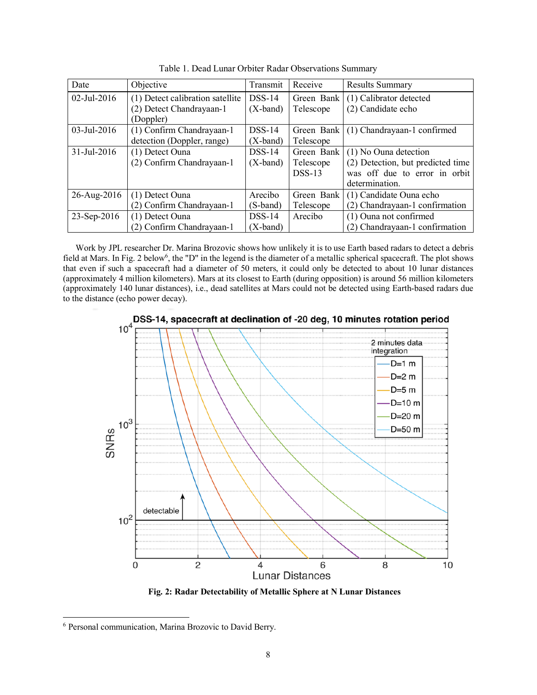| Date           | Objective                        | Transmit       | Receive    | <b>Results Summary</b>            |
|----------------|----------------------------------|----------------|------------|-----------------------------------|
| 02-Jul-2016    | (1) Detect calibration satellite | $DSS-14$       | Green Bank | (1) Calibrator detected           |
|                | (2) Detect Chandrayaan-1         | $(X$ -band $)$ | Telescope  | (2) Candidate echo                |
|                | (Doppler)                        |                |            |                                   |
| 03-Jul-2016    | (1) Confirm Chandrayaan-1        | $DSS-14$       | Green Bank | (1) Chandrayaan-1 confirmed       |
|                | detection (Doppler, range)       | $(X$ -band)    | Telescope  |                                   |
| $31$ -Jul-2016 | (1) Detect Ouna                  | $DSS-14$       | Green Bank | $(1)$ No Ouna detection           |
|                | (2) Confirm Chandrayaan-1        | $(X$ -band)    | Telescope  | (2) Detection, but predicted time |
|                |                                  |                | $DSS-13$   | was off due to error in orbit     |
|                |                                  |                |            | determination.                    |
| 26-Aug-2016    | (1) Detect Ouna                  | Arecibo        | Green Bank | (1) Candidate Ouna echo           |
|                | (2) Confirm Chandrayaan-1        | (S-band)       | Telescope  | (2) Chandrayaan-1 confirmation    |
| 23-Sep-2016    | (1) Detect Ouna                  | $DSS-14$       | Arecibo    | (1) Ouna not confirmed            |
|                | (2) Confirm Chandrayaan-1        | $(X$ -band)    |            | (2) Chandrayaan-1 confirmation    |

Table 1. Dead Lunar Orbiter Radar Observations Summary

Work by JPL researcher Dr. Marina Brozovic shows how unlikely it is to use Earth based radars to detect a debris field at Mars. In Fig. 2 below<sup>6</sup>, the "D" in the legend is the diameter of a metallic spherical spacecraft. The plot shows that even if such a spacecraft had a diameter of 50 meters, it could only be detected to about 10 lunar distances (approximately 4 million kilometers). Mars at its closest to Earth (during opposition) is around 56 million kilometers (approximately 140 lunar distances), i.e., dead satellites at Mars could not be detected using Earth-based radars due to the distance (echo power decay).





 <sup>6</sup> Personal communication, Marina Brozovic to David Berry.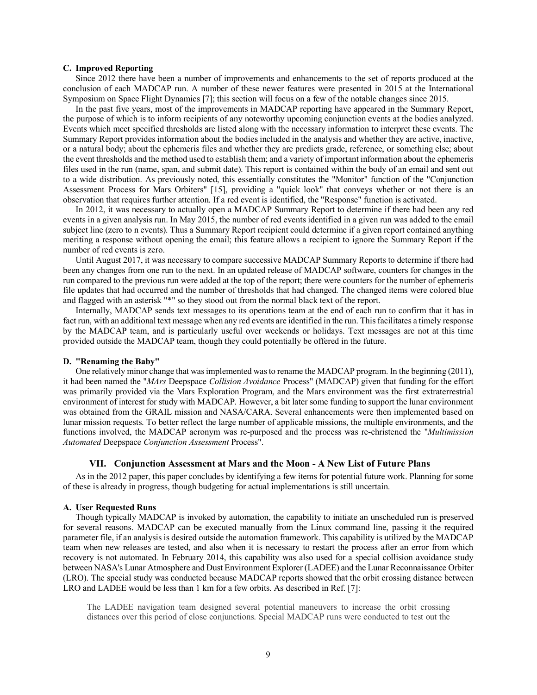## **C. Improved Reporting**

Since 2012 there have been a number of improvements and enhancements to the set of reports produced at the conclusion of each MADCAP run. A number of these newer features were presented in 2015 at the International Symposium on Space Flight Dynamics [7]; this section will focus on a few of the notable changes since 2015.

In the past five years, most of the improvements in MADCAP reporting have appeared in the Summary Report, the purpose of which is to inform recipients of any noteworthy upcoming conjunction events at the bodies analyzed. Events which meet specified thresholds are listed along with the necessary information to interpret these events. The Summary Report provides information about the bodies included in the analysis and whether they are active, inactive, or a natural body; about the ephemeris files and whether they are predicts grade, reference, or something else; about the event thresholds and the method used to establish them; and a variety of important information about the ephemeris files used in the run (name, span, and submit date). This report is contained within the body of an email and sent out to a wide distribution. As previously noted, this essentially constitutes the "Monitor" function of the "Conjunction Assessment Process for Mars Orbiters" [15], providing a "quick look" that conveys whether or not there is an observation that requires further attention. If a red event is identified, the "Response" function is activated.

In 2012, it was necessary to actually open a MADCAP Summary Report to determine if there had been any red events in a given analysis run. In May 2015, the number of red events identified in a given run was added to the email subject line (zero to n events). Thus a Summary Report recipient could determine if a given report contained anything meriting a response without opening the email; this feature allows a recipient to ignore the Summary Report if the number of red events is zero.

Until August 2017, it was necessary to compare successive MADCAP Summary Reports to determine if there had been any changes from one run to the next. In an updated release of MADCAP software, counters for changes in the run compared to the previous run were added at the top of the report; there were counters for the number of ephemeris file updates that had occurred and the number of thresholds that had changed. The changed items were colored blue and flagged with an asterisk "\*" so they stood out from the normal black text of the report.

Internally, MADCAP sends text messages to its operations team at the end of each run to confirm that it has in fact run, with an additional text message when any red events are identified in the run. This facilitates a timely response by the MADCAP team, and is particularly useful over weekends or holidays. Text messages are not at this time provided outside the MADCAP team, though they could potentially be offered in the future.

#### **D. "Renaming the Baby"**

One relatively minor change that was implemented was to rename the MADCAP program. In the beginning (2011), it had been named the "*MArs* Deepspace *Collision Avoidance* Process" (MADCAP) given that funding for the effort was primarily provided via the Mars Exploration Program, and the Mars environment was the first extraterrestrial environment of interest for study with MADCAP. However, a bit later some funding to support the lunar environment was obtained from the GRAIL mission and NASA/CARA. Several enhancements were then implemented based on lunar mission requests. To better reflect the large number of applicable missions, the multiple environments, and the functions involved, the MADCAP acronym was re-purposed and the process was re-christened the "*Multimission Automated* Deepspace *Conjunction Assessment* Process".

# **VII. Conjunction Assessment at Mars and the Moon - A New List of Future Plans**

As in the 2012 paper, this paper concludes by identifying a few items for potential future work. Planning for some of these is already in progress, though budgeting for actual implementations is still uncertain.

## **A. User Requested Runs**

Though typically MADCAP is invoked by automation, the capability to initiate an unscheduled run is preserved for several reasons. MADCAP can be executed manually from the Linux command line, passing it the required parameter file, if an analysis is desired outside the automation framework. This capability is utilized by the MADCAP team when new releases are tested, and also when it is necessary to restart the process after an error from which recovery is not automated. In February 2014, this capability was also used for a special collision avoidance study between NASA's Lunar Atmosphere and Dust Environment Explorer (LADEE) and the Lunar Reconnaissance Orbiter (LRO). The special study was conducted because MADCAP reports showed that the orbit crossing distance between LRO and LADEE would be less than 1 km for a few orbits. As described in Ref. [7]:

The LADEE navigation team designed several potential maneuvers to increase the orbit crossing distances over this period of close conjunctions. Special MADCAP runs were conducted to test out the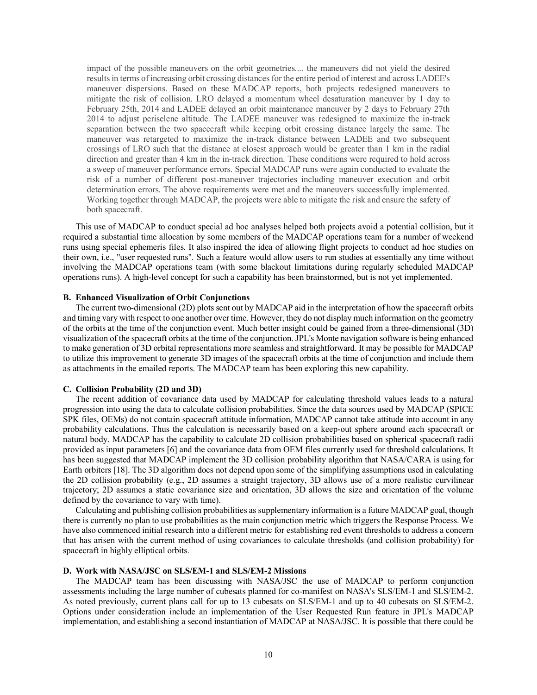impact of the possible maneuvers on the orbit geometries.... the maneuvers did not yield the desired results in terms of increasing orbit crossing distances for the entire period of interest and across LADEE's maneuver dispersions. Based on these MADCAP reports, both projects redesigned maneuvers to mitigate the risk of collision. LRO delayed a momentum wheel desaturation maneuver by 1 day to February 25th, 2014 and LADEE delayed an orbit maintenance maneuver by 2 days to February 27th 2014 to adjust periselene altitude. The LADEE maneuver was redesigned to maximize the in-track separation between the two spacecraft while keeping orbit crossing distance largely the same. The maneuver was retargeted to maximize the in-track distance between LADEE and two subsequent crossings of LRO such that the distance at closest approach would be greater than 1 km in the radial direction and greater than 4 km in the in-track direction. These conditions were required to hold across a sweep of maneuver performance errors. Special MADCAP runs were again conducted to evaluate the risk of a number of different post-maneuver trajectories including maneuver execution and orbit determination errors. The above requirements were met and the maneuvers successfully implemented. Working together through MADCAP, the projects were able to mitigate the risk and ensure the safety of both spacecraft.

This use of MADCAP to conduct special ad hoc analyses helped both projects avoid a potential collision, but it required a substantial time allocation by some members of the MADCAP operations team for a number of weekend runs using special ephemeris files. It also inspired the idea of allowing flight projects to conduct ad hoc studies on their own, i.e., "user requested runs". Such a feature would allow users to run studies at essentially any time without involving the MADCAP operations team (with some blackout limitations during regularly scheduled MADCAP operations runs). A high-level concept for such a capability has been brainstormed, but is not yet implemented.

## **B. Enhanced Visualization of Orbit Conjunctions**

The current two-dimensional (2D) plots sent out by MADCAP aid in the interpretation of how the spacecraft orbits and timing vary with respect to one another over time. However, they do not display much information on the geometry of the orbits at the time of the conjunction event. Much better insight could be gained from a three-dimensional (3D) visualization of the spacecraft orbits at the time of the conjunction. JPL's Monte navigation software is being enhanced to make generation of 3D orbital representations more seamless and straightforward. It may be possible for MADCAP to utilize this improvement to generate 3D images of the spacecraft orbits at the time of conjunction and include them as attachments in the emailed reports. The MADCAP team has been exploring this new capability.

## **C. Collision Probability (2D and 3D)**

The recent addition of covariance data used by MADCAP for calculating threshold values leads to a natural progression into using the data to calculate collision probabilities. Since the data sources used by MADCAP (SPICE SPK files, OEMs) do not contain spacecraft attitude information, MADCAP cannot take attitude into account in any probability calculations. Thus the calculation is necessarily based on a keep-out sphere around each spacecraft or natural body. MADCAP has the capability to calculate 2D collision probabilities based on spherical spacecraft radii provided as input parameters [6] and the covariance data from OEM files currently used for threshold calculations. It has been suggested that MADCAP implement the 3D collision probability algorithm that NASA/CARA is using for Earth orbiters [18]. The 3D algorithm does not depend upon some of the simplifying assumptions used in calculating the 2D collision probability (e.g., 2D assumes a straight trajectory, 3D allows use of a more realistic curvilinear trajectory; 2D assumes a static covariance size and orientation, 3D allows the size and orientation of the volume defined by the covariance to vary with time).

Calculating and publishing collision probabilities as supplementary information is a future MADCAP goal, though there is currently no plan to use probabilities as the main conjunction metric which triggers the Response Process. We have also commenced initial research into a different metric for establishing red event thresholds to address a concern that has arisen with the current method of using covariances to calculate thresholds (and collision probability) for spacecraft in highly elliptical orbits.

# **D. Work with NASA/JSC on SLS/EM-1 and SLS/EM-2 Missions**

The MADCAP team has been discussing with NASA/JSC the use of MADCAP to perform conjunction assessments including the large number of cubesats planned for co-manifest on NASA's SLS/EM-1 and SLS/EM-2. As noted previously, current plans call for up to 13 cubesats on SLS/EM-1 and up to 40 cubesats on SLS/EM-2. Options under consideration include an implementation of the User Requested Run feature in JPL's MADCAP implementation, and establishing a second instantiation of MADCAP at NASA/JSC. It is possible that there could be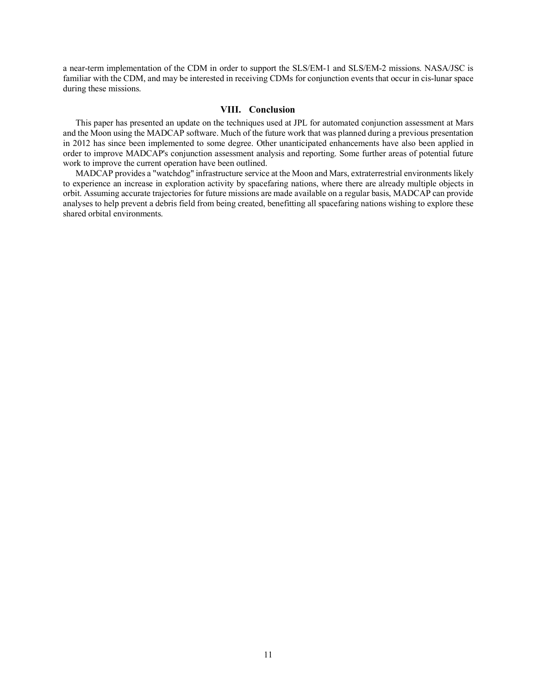a near-term implementation of the CDM in order to support the SLS/EM-1 and SLS/EM-2 missions. NASA/JSC is familiar with the CDM, and may be interested in receiving CDMs for conjunction events that occur in cis-lunar space during these missions.

# **VIII. Conclusion**

This paper has presented an update on the techniques used at JPL for automated conjunction assessment at Mars and the Moon using the MADCAP software. Much of the future work that was planned during a previous presentation in 2012 has since been implemented to some degree. Other unanticipated enhancements have also been applied in order to improve MADCAP's conjunction assessment analysis and reporting. Some further areas of potential future work to improve the current operation have been outlined.

MADCAP provides a "watchdog" infrastructure service at the Moon and Mars, extraterrestrial environments likely to experience an increase in exploration activity by spacefaring nations, where there are already multiple objects in orbit. Assuming accurate trajectories for future missions are made available on a regular basis, MADCAP can provide analyses to help prevent a debris field from being created, benefitting all spacefaring nations wishing to explore these shared orbital environments.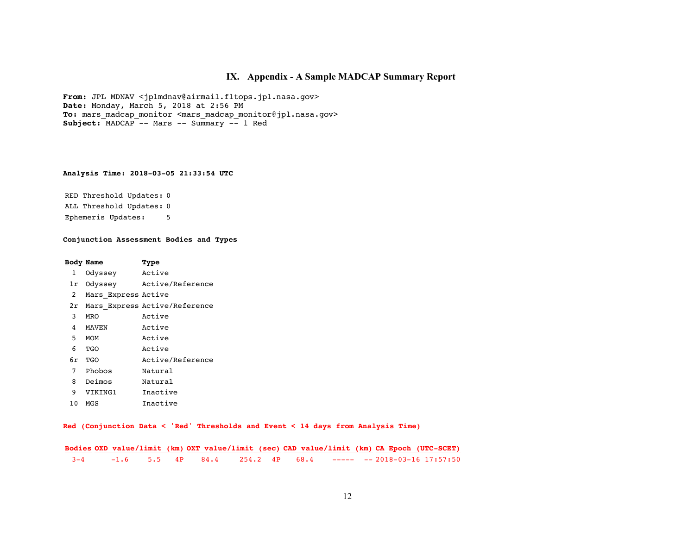# **IX. Appendix - A Sample MADCAP Summary Report**

**From:** JPL MDNAV <jplmdnav@airmail.fltops.jpl.nasa.gov> **Date:** Monday, March 5, 2018 at 2:56 PM To: mars madcap monitor <mars madcap monitor@jpl.nasa.gov> **Subject:** MADCAP -- Mars -- Summary -- 1 Red

#### **Analysis Time: 2018-03-05 21:33:54 UTC**

RED Threshold Updates: 0 ALL Threshold Updates: 0 Ephemeris Updates: 5

#### **Conjunction Assessment Bodies and Types**

|    | <b>Body Name</b>    | Type                          |
|----|---------------------|-------------------------------|
| ı  | Odyssey             | Active                        |
| 1r | Odyssey             | Active/Reference              |
| 2  | Mars Express Active |                               |
| 2r |                     | Mars Express Active/Reference |
| 3  | <b>MRO</b>          | Active                        |
| 4  | MAVEN               | Active                        |
| 5. | <b>MOM</b>          | Active                        |
| 6  | TGO                 | Active                        |
| 6r | TGO                 | Active/Reference              |
| 7  | Phobos              | Natural                       |
| 8  | Deimos              | Natural                       |
| 9  | VIKING1             | Inactive                      |
| 10 | MGS                 | Inactive                      |

**Red (Conjunction Data < 'Red' Thresholds and Event < 14 days from Analysis Time)**

|  |  |  |  |  |  |  |  | Bodies OXD value/limit (km) OXT value/limit (sec) CAD value/limit (km) CA Epoch (UTC-SCET) |
|--|--|--|--|--|--|--|--|--------------------------------------------------------------------------------------------|
|  |  |  |  |  |  |  |  | $3-4$ $-1.6$ $5.5$ $4P$ $84.4$ $254.2$ $4P$ $68.4$ $-- -2018-03-16$ $17:57:50$             |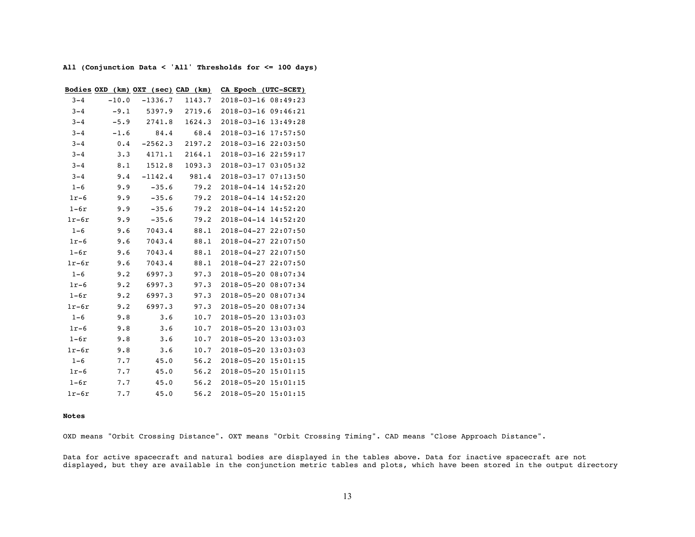**All (Conjunction Data < 'All' Thresholds for <= 100 days)**

|         |         | Bodies OXD (km) OXT (sec) CAD (km) |        | CA Epoch         | (UTC-SCET)          |
|---------|---------|------------------------------------|--------|------------------|---------------------|
| $3 - 4$ | $-10.0$ | $-1336.7$                          | 1143.7 |                  | 2018-03-16 08:49:23 |
| $3 - 4$ | $-9.1$  | 5397.9                             | 2719.6 |                  | 2018-03-16 09:46:21 |
| $3 - 4$ | $-5.9$  | 2741.8                             | 1624.3 | $2018 - 03 - 16$ | 13:49:28            |
| $3 - 4$ | $-1.6$  | 84.4                               | 68.4   | 2018-03-16       | 17:57:50            |
| $3 - 4$ | 0.4     | $-2562.3$                          | 2197.2 |                  | 2018-03-16 22:03:50 |
| $3 - 4$ | 3.3     | 4171.1                             | 2164.1 |                  | 2018-03-16 22:59:17 |
| $3 - 4$ | 8.1     | 1512.8                             | 1093.3 |                  | 2018-03-17 03:05:32 |
| $3 - 4$ | 9.4     | $-1142.4$                          | 981.4  |                  | 2018-03-17 07:13:50 |
| $1 - 6$ | 9.9     | $-35.6$                            | 79.2   |                  | 2018-04-14 14:52:20 |
| $1r-6$  | 9.9     | $-35.6$                            | 79.2   |                  | 2018-04-14 14:52:20 |
| $1-6r$  | 9.9     | $-35.6$                            | 79.2   |                  | 2018-04-14 14:52:20 |
| $1r-6r$ | 9.9     | $-35.6$                            | 79.2   |                  | 2018-04-14 14:52:20 |
| $1 - 6$ | 9.6     | 7043.4                             | 88.1   |                  | 2018-04-27 22:07:50 |
| $1r-6$  | 9.6     | 7043.4                             | 88.1   |                  | 2018-04-27 22:07:50 |
| $1-6r$  | 9.6     | 7043.4                             | 88.1   |                  | 2018-04-27 22:07:50 |
| $1r-6r$ | 9.6     | 7043.4                             | 88.1   |                  | 2018-04-27 22:07:50 |
| $1 - 6$ | 9.2     | 6997.3                             | 97.3   | $2018 - 05 - 20$ | 08:07:34            |
| $1r-6$  | 9.2     | 6997.3                             | 97.3   |                  | 2018-05-20 08:07:34 |
| $1-6r$  | 9.2     | 6997.3                             | 97.3   | $2018 - 05 - 20$ | 08:07:34            |
| $1r-6r$ | 9.2     | 6997.3                             | 97.3   | 2018-05-20       | 08:07:34            |
| $1 - 6$ | 9.8     | 3.6                                | 10.7   | $2018 - 05 - 20$ | 13:03:03            |
| $1r-6$  | 9.8     | 3.6                                | 10.7   | $2018 - 05 - 20$ | 13:03:03            |
| $1-6r$  | 9.8     | 3.6                                | 10.7   | $2018 - 05 - 20$ | 13:03:03            |
| $1r-6r$ | 9.8     | 3.6                                | 10.7   | $2018 - 05 - 20$ | 13:03:03            |
| $1 - 6$ | 7.7     | 45.0                               | 56.2   | $2018 - 05 - 20$ | 15:01:15            |
| $1r-6$  | 7.7     | 45.0                               | 56.2   | $2018 - 05 - 20$ | 15:01:15            |
| $1-6r$  | 7.7     | 45.0                               | 56.2   | $2018 - 05 - 20$ | 15:01:15            |
| $1r-6r$ | 7.7     | 45.0                               | 56.2   | $2018 - 05 - 20$ | 15:01:15            |

#### **Notes**

OXD means "Orbit Crossing Distance". OXT means "Orbit Crossing Timing". CAD means "Close Approach Distance".

Data for active spacecraft and natural bodies are displayed in the tables above. Data for inactive spacecraft are not displayed, but they are available in the conjunction metric tables and plots, which have been stored in the output directory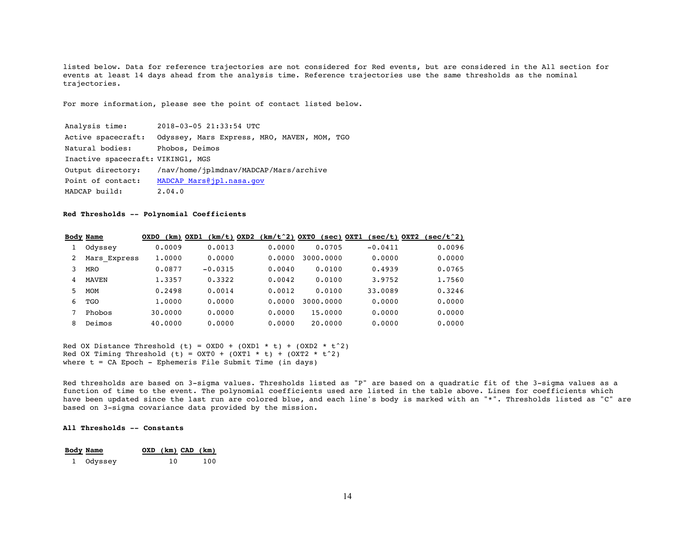listed below. Data for reference trajectories are not considered for Red events, but are considered in the All section for events at least 14 days ahead from the analysis time. Reference trajectories use the same thresholds as the nominal trajectories.

For more information, please see the point of contact listed below.

Analysis time: 2018-03-05 21:33:54 UTC Active spacecraft: Odyssey, Mars Express, MRO, MAVEN, MOM, TGO Natural bodies: Phobos, Deimos Inactive spacecraft: VIKING1, MGS Output directory: /nav/home/jplmdnav/MADCAP/Mars/archive Point of contact: MADCAP Mars@jpl.nasa.gov MADCAP build: 2.04.0

#### **Red Thresholds -- Polynomial Coefficients**

|    | Body Name    | (km) OXD1<br><b>OXDO</b> | $(km/t)$ OXD2 | $(km/t^2)$ OXTO | $(sec)$ $OXT1$ | $(sec/t)$ OXT2 | $sec/t^2)$ |
|----|--------------|--------------------------|---------------|-----------------|----------------|----------------|------------|
|    | Odyssey      | 0.0009                   | 0.0013        | 0.0000          | 0.0705         | $-0.0411$      | 0.0096     |
|    | Mars Express | 1,0000                   | 0.0000        | 0.0000          | 3000.0000      | 0.0000         | 0.0000     |
| 3  | <b>MRO</b>   | 0.0877                   | $-0.0315$     | 0.0040          | 0.0100         | 0.4939         | 0.0765     |
| 4  | MAVEN        | 1.3357                   | 0.3322        | 0.0042          | 0.0100         | 3.9752         | 1.7560     |
| 5. | <b>MOM</b>   | 0.2498                   | 0.0014        | 0.0012          | 0.0100         | 33,0089        | 0.3246     |
| 6  | TGO          | 1,0000                   | 0.0000        | 0.0000          | 3000.0000      | 0.0000         | 0.0000     |
|    | Phobos       | 30,0000                  | 0.0000        | 0.0000          | 15,0000        | 0.0000         | 0.0000     |
| 8  | Deimos       | 40,0000                  | 0.0000        | 0.0000          | 20,0000        | 0.0000         | 0.0000     |

Red OX Distance Threshold (t) =  $0XD0 + (0XD1 * t) + (0XD2 * t^2)$ Red OX Timing Threshold (t) =  $0XT0 + (0XT1 * t) + (0XT2 * t^2)$ where  $t = CA$  Epoch - Ephemeris File Submit Time (in days)

Red thresholds are based on 3-sigma values. Thresholds listed as "P" are based on a quadratic fit of the 3-sigma values as a function of time to the event. The polynomial coefficients used are listed in the table above. Lines for coefficients which have been updated since the last run are colored blue, and each line's body is marked with an "\*". Thresholds listed as "C" are based on 3-sigma covariance data provided by the mission.

#### **All Thresholds -- Constants**

| Body Name | OXD (km) CAD (km) |     |
|-----------|-------------------|-----|
| Odyssey   | 10                | 100 |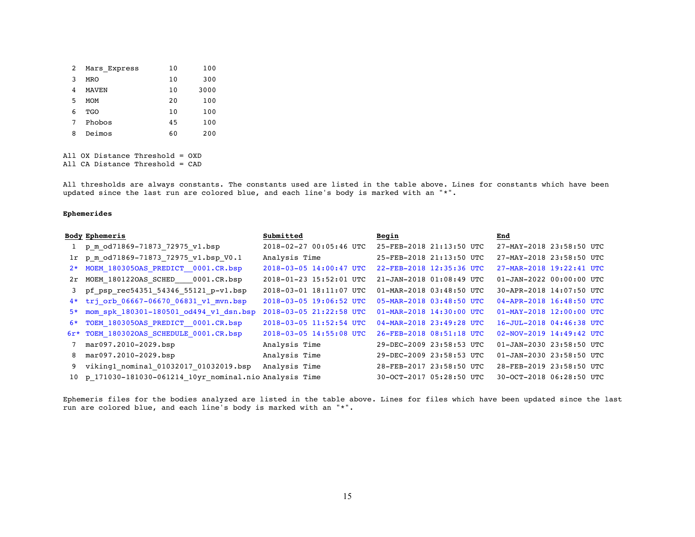| 2 | Mars Express | 10 | 100  |
|---|--------------|----|------|
| 3 | MRO          | 10 | 300  |
| 4 | MAVEN        | 10 | 3000 |
| 5 | <b>MOM</b>   | 20 | 100  |
| 6 | TGO          | 10 | 100  |
| 7 | Phobos       | 45 | 100  |
| 8 | Deimos       | 60 | 200  |

All OX Distance Threshold = OXD All CA Distance Threshold = CAD

All thresholds are always constants. The constants used are listed in the table above. Lines for constants which have been updated since the last run are colored blue, and each line's body is marked with an "\*".

#### **Ephemerides**

|   | <b>Body Ephemeris</b>                                    | Submitted               | Begin                      | End                          |
|---|----------------------------------------------------------|-------------------------|----------------------------|------------------------------|
|   | p m od71869-71873 72975 v1.bsp                           | 2018-02-27 00:05:46 UTC | 25-FEB-2018 21:13:50 UTC   | 27-MAY-2018 23:58:50 UTC     |
|   | 1r p m od71869-71873 72975 v1.bsp V0.1                   | Analysis Time           | 25-FEB-2018 21:13:50 UTC   | 27-MAY-2018 23:58:50 UTC     |
|   | 2* MOEM 1803050AS PREDICT 0001.CR.bsp                    | 2018-03-05 14:00:47 UTC | 22-FEB-2018 12:35:36 UTC   | 27-MAR-2018 19:22:41 UTC     |
|   | 2r MOEM 180122OAS SCHED 0001.CR.bsp                      | 2018-01-23 15:52:01 UTC | 21-JAN-2018 01:08:49 UTC   | 01-JAN-2022 00:00:00 UTC     |
|   | 3 pf psp rec54351 54346 55121 p-v1.bsp                   | 2018-03-01 18:11:07 UTC | 01-MAR-2018 03:48:50 UTC   | 30-APR-2018 14:07:50 UTC     |
|   | 4* trj orb 06667-06670 06831 v1 mvn.bsp                  | 2018-03-05 19:06:52 UTC | 05-MAR-2018 03:48:50 UTC   | 04-APR-2018 16:48:50 UTC     |
|   | 5* mom spk 180301-180501 od494 v1 dsn.bsp                | 2018-03-05 21:22:58 UTC | 01-MAR-2018 14:30:00 UTC   | 01-MAY-2018 12:00:00 UTC     |
|   | 6* TOEM 1803050AS PREDICT 0001.CR.bsp                    | 2018-03-05 11:52:54 UTC | $04-MAR-2018$ 23:49:28 UTC | 16-JUL-2018 04:46:38 UTC     |
|   | 6r* TOEM 1803020AS SCHEDULE 0001.CR.bsp                  | 2018-03-05 14:55:08 UTC | 26-FEB-2018 08:51:18 UTC   | $02-NOV-2019$ $14:49:42$ UTC |
|   | mar097.2010-2029.bsp                                     | Analysis Time           | 29-DEC-2009 23:58:53 UTC   | 01-JAN-2030 23:58:50 UTC     |
| 8 | mar097.2010-2029.bsp                                     | Analysis Time           | 29-DEC-2009 23:58:53 UTC   | 01-JAN-2030 23:58:50 UTC     |
| 9 | viking1 nominal 01032017 01032019.bsp                    | Analysis Time           | 28-FEB-2017 23:58:50 UTC   | 28-FEB-2019 23:58:50 UTC     |
|   | 10 p 171030-181030-061214 10yr nominal.nio Analysis Time |                         | 30-OCT-2017 05:28:50 UTC   | 30-OCT-2018 06:28:50 UTC     |

Ephemeris files for the bodies analyzed are listed in the table above. Lines for files which have been updated since the last run are colored blue, and each line's body is marked with an "\*".